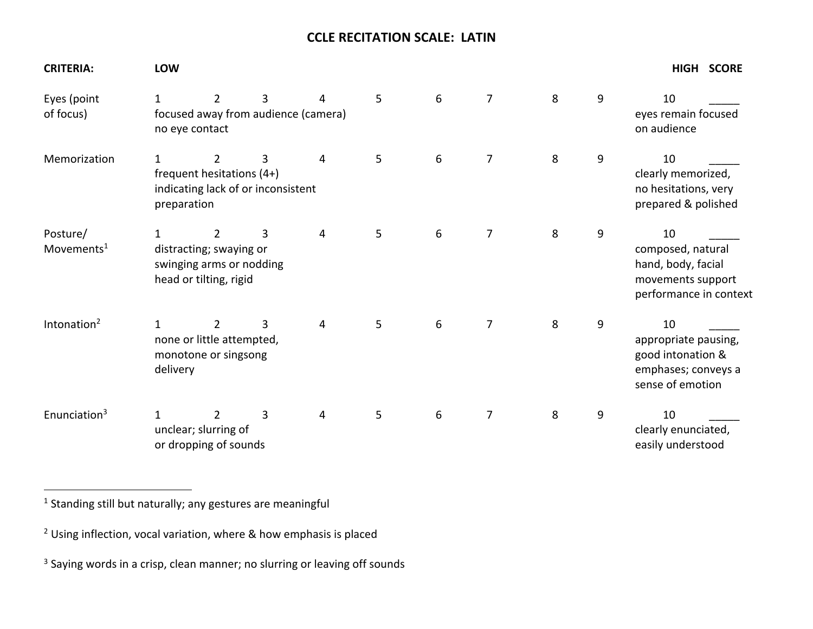## **CCLE RECITATION SCALE: LATIN**

| <b>CRITERIA:</b>                   | LOW                                                                                                                                                 |                                                                                                 |   |   |   |   |                |   |   |                                                                                              |
|------------------------------------|-----------------------------------------------------------------------------------------------------------------------------------------------------|-------------------------------------------------------------------------------------------------|---|---|---|---|----------------|---|---|----------------------------------------------------------------------------------------------|
| Eyes (point<br>of focus)           | 1<br>focused away from audience (camera)<br>no eye contact                                                                                          | 10<br>eyes remain focused<br>on audience                                                        |   |   |   |   |                |   |   |                                                                                              |
| Memorization                       | 5<br>6<br>7<br>8<br>9<br>$\overline{2}$<br>3<br>4<br>$\mathbf{1}$<br>frequent hesitations (4+)<br>indicating lack of or inconsistent<br>preparation |                                                                                                 |   |   |   |   |                |   |   | 10<br>clearly memorized,<br>no hesitations, very<br>prepared & polished                      |
| Posture/<br>Movements <sup>1</sup> | 1                                                                                                                                                   | $\overline{2}$<br>distracting; swaying or<br>swinging arms or nodding<br>head or tilting, rigid | 3 | 4 | 5 | 6 | $\overline{7}$ | 8 | 9 | 10<br>composed, natural<br>hand, body, facial<br>movements support<br>performance in context |
| Intonation <sup>2</sup>            | 5<br>3<br>1<br>$\overline{2}$<br>4<br>none or little attempted,<br>monotone or singsong<br>delivery                                                 |                                                                                                 |   |   |   | 6 | 7              | 8 | 9 | 10<br>appropriate pausing,<br>good intonation &<br>emphases; conveys a<br>sense of emotion   |
| Enunciation $3$                    | 1                                                                                                                                                   | 2<br>unclear; slurring of<br>or dropping of sounds                                              | 3 | 4 | 5 | 6 | 7              | 8 | 9 | 10<br>clearly enunciated,<br>easily understood                                               |

 $1$  Standing still but naturally; any gestures are meaningful

<sup>3</sup> Saying words in a crisp, clean manner; no slurring or leaving off sounds

 $2$  Using inflection, vocal variation, where & how emphasis is placed